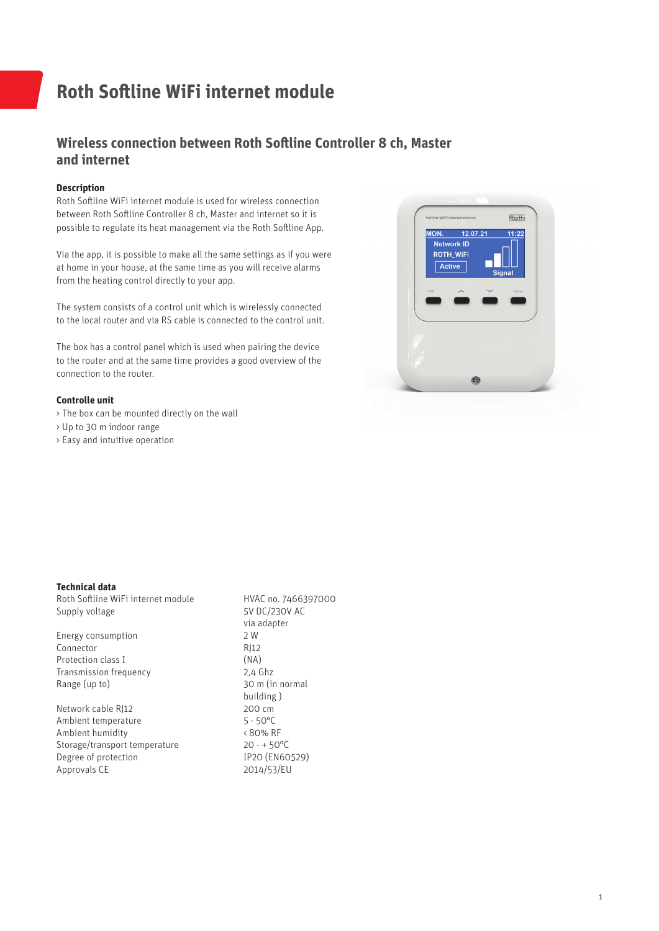# **Roth Softline WiFi internet module**

## **Wireless connection between Roth Softline Controller 8 ch, Master and internet**

### **Description**

Roth Softline WiFi internet module is used for wireless connection between Roth Softline Controller 8 ch, Master and internet so it is possible to regulate its heat management via the Roth Softline App.

Via the app, it is possible to make all the same settings as if you were at home in your house, at the same time as you will receive alarms from the heating control directly to your app.

The system consists of a control unit which is wirelessly connected to the local router and via RS cable is connected to the control unit.

The box has a control panel which is used when pairing the device to the router and at the same time provides a good overview of the connection to the router.

#### **Controlle unit**

- > The box can be mounted directly on the wall
- > Up to 30 m indoor range
- > Easy and intuitive operation



#### **Technical data**

Roth Softline WiFi internet module HVAC no. 7466397000 Supply voltage 5V DC/230V AC

Energy consumption 2 W Connector RI12 Protection class I (NA)<br>Transmission frequency (2.4 Ghz) Transmission frequency<br>Range (up to)

Network cable RJ12 200 cm<br>
Ambient temperature 5 - 50 °C Ambient temperature 5 - 50°C<br>Ambient humidity 680% RF Ambient humidity Storage/transport temperature 20 - + 50°C<br>Degree of protection 1P20 (EN60529) Degree of protection Approvals CE 2014/53/EU

 via adapter 30 m (in normal building)<br>200 cm